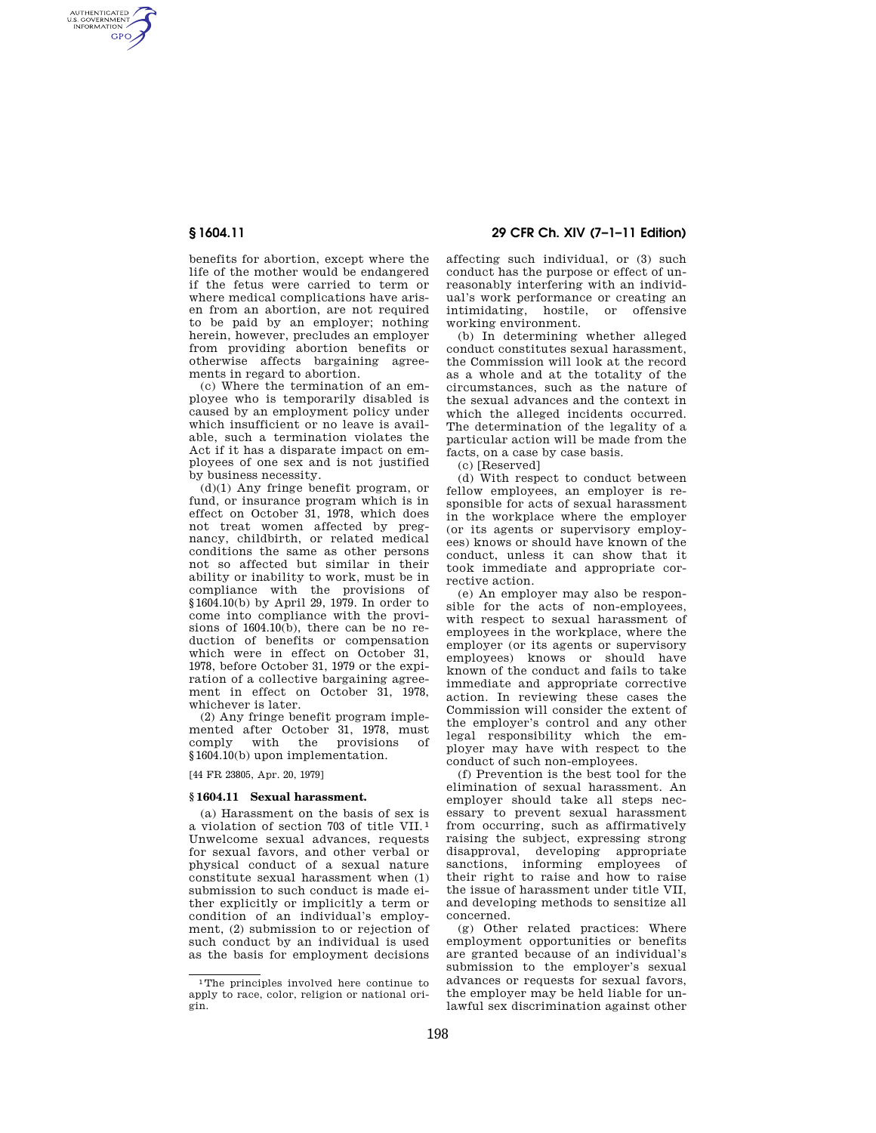AUTHENTICATED<br>U.S. GOVERNMENT<br>INFORMATION **GPO** 

> benefits for abortion, except where the life of the mother would be endangered if the fetus were carried to term or where medical complications have arisen from an abortion, are not required to be paid by an employer; nothing herein, however, precludes an employer from providing abortion benefits or otherwise affects bargaining agreements in regard to abortion.

> (c) Where the termination of an employee who is temporarily disabled is caused by an employment policy under which insufficient or no leave is available, such a termination violates the Act if it has a disparate impact on employees of one sex and is not justified by business necessity.

> (d)(1) Any fringe benefit program, or fund, or insurance program which is in effect on October 31, 1978, which does not treat women affected by pregnancy, childbirth, or related medical conditions the same as other persons not so affected but similar in their ability or inability to work, must be in compliance with the provisions of §1604.10(b) by April 29, 1979. In order to come into compliance with the provisions of  $1604.10(b)$ , there can be no reduction of benefits or compensation which were in effect on October 31, 1978, before October 31, 1979 or the expiration of a collective bargaining agreement in effect on October 31, 1978, whichever is later.

(2) Any fringe benefit program implemented after October 31, 1978, must comply with the provisions of §1604.10(b) upon implementation.

[44 FR 23805, Apr. 20, 1979]

# **§ 1604.11 Sexual harassment.**

(a) Harassment on the basis of sex is a violation of section 703 of title VII. 1 Unwelcome sexual advances, requests for sexual favors, and other verbal or physical conduct of a sexual nature constitute sexual harassment when (1) submission to such conduct is made either explicitly or implicitly a term or condition of an individual's employment, (2) submission to or rejection of such conduct by an individual is used as the basis for employment decisions

# **§ 1604.11 29 CFR Ch. XIV (7–1–11 Edition)**

affecting such individual, or (3) such conduct has the purpose or effect of unreasonably interfering with an individual's work performance or creating an intimidating, hostile, or offensive working environment.

(b) In determining whether alleged conduct constitutes sexual harassment, the Commission will look at the record as a whole and at the totality of the circumstances, such as the nature of the sexual advances and the context in which the alleged incidents occurred. The determination of the legality of a particular action will be made from the facts, on a case by case basis.

(c) [Reserved]

(d) With respect to conduct between fellow employees, an employer is responsible for acts of sexual harassment in the workplace where the employer (or its agents or supervisory employees) knows or should have known of the conduct, unless it can show that it took immediate and appropriate corrective action.

(e) An employer may also be responsible for the acts of non-employees, with respect to sexual harassment of employees in the workplace, where the employer (or its agents or supervisory employees) knows or should have known of the conduct and fails to take immediate and appropriate corrective action. In reviewing these cases the Commission will consider the extent of the employer's control and any other legal responsibility which the employer may have with respect to the conduct of such non-employees.

(f) Prevention is the best tool for the elimination of sexual harassment. An employer should take all steps necessary to prevent sexual harassment from occurring, such as affirmatively raising the subject, expressing strong disapproval, developing appropriate sanctions, informing employees of their right to raise and how to raise the issue of harassment under title VII, and developing methods to sensitize all concerned.

(g) Other related practices: Where employment opportunities or benefits are granted because of an individual's submission to the employer's sexual advances or requests for sexual favors, the employer may be held liable for unlawful sex discrimination against other

<sup>1</sup>The principles involved here continue to apply to race, color, religion or national origin.